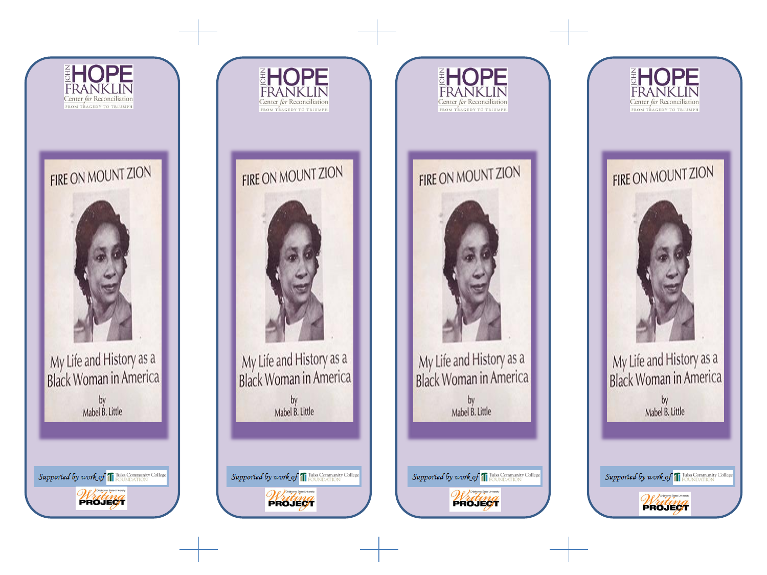